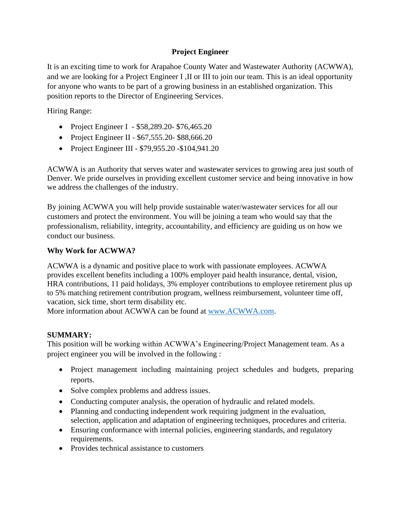### **Project Engineer**

It is an exciting time to work for Arapahoe County Water and Wastewater Authority (ACWWA), and we are looking for a Project Engineer I ,II or III to join our team. This is an ideal opportunity for anyone who wants to be part of a growing business in an established organization. This position reports to the Director of Engineering Services.

Hiring Range:

- Project Engineer I \$58,289.20- \$76,465.20
- Project Engineer II \$67,555.20 \$88,666.20
- Project Engineer III \$79,955.20 -\$104,941.20

ACWWA is an Authority that serves water and wastewater services to growing area just south of Denver. We pride ourselves in providing excellent customer service and being innovative in how we address the challenges of the industry.

By joining ACWWA you will help provide sustainable water/wastewater services for all our customers and protect the environment. You will be joining a team who would say that the professionalism, reliability, integrity, accountability, and efficiency are guiding us on how we conduct our business.

#### **Why Work for ACWWA?**

ACWWA is a dynamic and positive place to work with passionate employees. ACWWA provides excellent benefits including a 100% employer paid health insurance, dental, vision, HRA contributions, 11 paid holidays, 3% employer contributions to employee retirement plus up to 5% matching retirement contribution program, wellness reimbursement, volunteer time off, vacation, sick time, short term disability etc.

More information about ACWWA can be found at [www.ACWWA.com.](http://www.acwwa.com/)

# **SUMMARY:**

This position will be working within ACWWA's Engineering/Project Management team. As a project engineer you will be involved in the following :

- Project management including maintaining project schedules and budgets, preparing reports.
- Solve complex problems and address issues.
- Conducting computer analysis, the operation of hydraulic and related models.
- Planning and conducting independent work requiring judgment in the evaluation, selection, application and adaptation of engineering techniques, procedures and criteria.
- Ensuring conformance with internal policies, engineering standards, and regulatory requirements.
- Provides technical assistance to customers